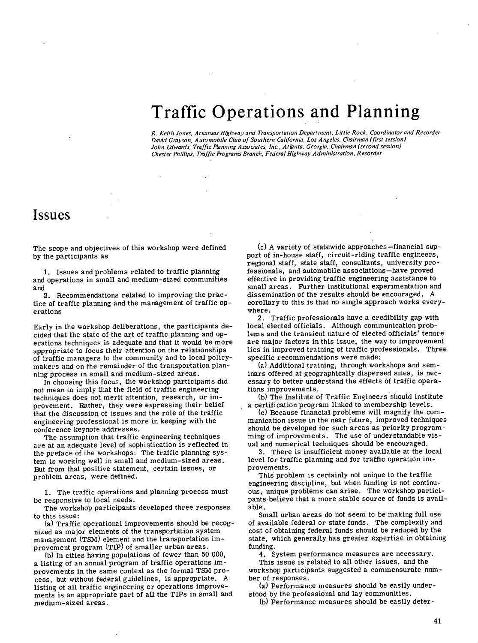## Traffic Operations and Planning

*R. Keith Jones, Arkansas Highway and Transportation Department, Little Rock, Coordinator and Recorder Dacid Grayson, Automobile Club of Southern California, Los Angeles, Chairman (first session) John Edwards, Traffic Planning Associates, Inc., Atlanta, Georgia, Chairman (second session) Chester Phillips, Traffic Programs Branch, Federal Highway Administration, Recorder* 

## Issues

The scope and objectives of this workshop were defined by the participants as

1. Issues and problems related to traffic planning and operations in small and medium-sized communities and

2. Recommendations related to improving the practice of traffic planning and the management of traffic operations

Early in the workshop deliberations, the participants decided that the state of the art of traffic planning and operations techniques is adequate and that it would be more appropriate to focus their attention on the relationships of traffic managers to the community and to local policymakers and on the remainder of the transportation planning process in small and medium-sized areas.

In choosing this focus, the workshop participants did not mean to imply that the field of traffic engineering techniques does not merit attention, research, or improvement. Rather, they were expressing their belief that the discussion of issues and the role of the traffic engineering professional is more in keeping with the conference keynote addresses.

The assumption that traffic engineering techniques are at an adequate level of sophistication is reflected in the preface of the workshops: The traffic planning system is working well in small and medium-sized areas. But from that positive statement, certain issues, or problem areas, were defined.

1. The traffic operations and planning process must be responsive to local needs.

The workshop participants developed three responses to this issue:

(a) Traffic operational improvements should be recognized as major elements of the transportation system management (TSM) element and the transportation improvement program (TIP) of smaller urban areas.

(b) In cities having populations of fewer than 50 000, a listing of an annual program of traffic operations improvements in the same context as the formal TSM process, but without federal guidelines, is appropriate. A listing of all traffic engineering or operations improvements is an appropriate part of all the TIPs in small and medium-sized areas.

A variety of statewide approaches—financial support of in-house staff, circuit-riding traffic engineers, regional staff, state staff, consultants, university professionals, and automobile associations—have proved effective in providing traffic engineering assistance to small areas. Further institutional experimentation and dissemination of the results should be encouraged. A corollary to this is that no single approach works everywhere.

2. Traffic professionals have a credibility gap with local elected officials. Although communication problems and the transient nature of elected officials' tenure are major factors in this issue, the way to improvement lies in improved training of traffic professionals. Three specific recommendations were made:

(a) Additional training, through workshops and seminars offered at geographically dispersed sites, is necessary to better understand the effects of traffic operations improvements.

(b) The Institute of Traffic Engineers should institute a certification program linked to membership levels.

Because financial problems will magnify the communication issue in the near future, improved techniques should be developed for such areas as priority programming of improvements. The use of understandable visual and numerical techniques should be encouraged.

3. There is insufficient money available at the local level for traffic planning and for traffic operation improvements.

This problem is certainly not unique to the traffic engineering discipline, but when funding is not continuous, unique problems can arise. The workshop participants believe that a more stable source of funds is available.

Small urban areas do not seem to be making full use of available federal or state funds. The complexity and cost of obtaining federal funds should be reduced by the state, which generally has greater expertise in obtaining funding.

4. System performance measures are necessary.

This issue is related to all other issues, and the workshop participants suggested a commensurate number of responses.

(a) Performance measures should be easily understood by the professional and lay communities.

(b) Performance measures should be easily deter-